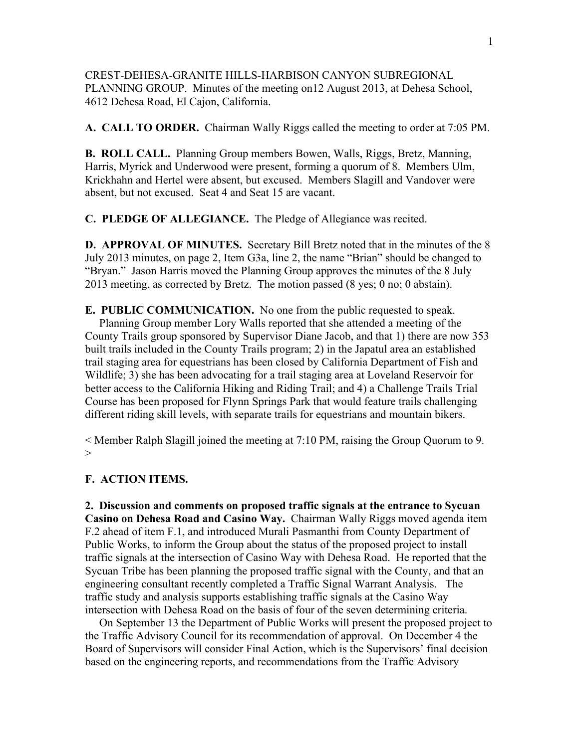CREST-DEHESA-GRANITE HILLS-HARBISON CANYON SUBREGIONAL PLANNING GROUP. Minutes of the meeting on12 August 2013, at Dehesa School, 4612 Dehesa Road, El Cajon, California.

**A. CALL TO ORDER.** Chairman Wally Riggs called the meeting to order at 7:05 PM.

**B. ROLL CALL.** Planning Group members Bowen, Walls, Riggs, Bretz, Manning, Harris, Myrick and Underwood were present, forming a quorum of 8. Members Ulm, Krickhahn and Hertel were absent, but excused. Members Slagill and Vandover were absent, but not excused. Seat 4 and Seat 15 are vacant.

**C. PLEDGE OF ALLEGIANCE.** The Pledge of Allegiance was recited.

**D. APPROVAL OF MINUTES.** Secretary Bill Bretz noted that in the minutes of the 8 July 2013 minutes, on page 2, Item G3a, line 2, the name "Brian" should be changed to "Bryan." Jason Harris moved the Planning Group approves the minutes of the 8 July 2013 meeting, as corrected by Bretz. The motion passed (8 yes; 0 no; 0 abstain).

**E. PUBLIC COMMUNICATION.** No one from the public requested to speak. Planning Group member Lory Walls reported that she attended a meeting of the County Trails group sponsored by Supervisor Diane Jacob, and that 1) there are now 353 built trails included in the County Trails program; 2) in the Japatul area an established trail staging area for equestrians has been closed by California Department of Fish and Wildlife; 3) she has been advocating for a trail staging area at Loveland Reservoir for better access to the California Hiking and Riding Trail; and 4) a Challenge Trails Trial Course has been proposed for Flynn Springs Park that would feature trails challenging different riding skill levels, with separate trails for equestrians and mountain bikers.

< Member Ralph Slagill joined the meeting at 7:10 PM, raising the Group Quorum to 9.  $>$ 

## **F. ACTION ITEMS.**

**2. Discussion and comments on proposed traffic signals at the entrance to Sycuan Casino on Dehesa Road and Casino Way.** Chairman Wally Riggs moved agenda item F.2 ahead of item F.1, and introduced Murali Pasmanthi from County Department of Public Works, to inform the Group about the status of the proposed project to install traffic signals at the intersection of Casino Way with Dehesa Road. He reported that the Sycuan Tribe has been planning the proposed traffic signal with the County, and that an engineering consultant recently completed a Traffic Signal Warrant Analysis. The traffic study and analysis supports establishing traffic signals at the Casino Way intersection with Dehesa Road on the basis of four of the seven determining criteria.

 On September 13 the Department of Public Works will present the proposed project to the Traffic Advisory Council for its recommendation of approval. On December 4 the Board of Supervisors will consider Final Action, which is the Supervisors' final decision based on the engineering reports, and recommendations from the Traffic Advisory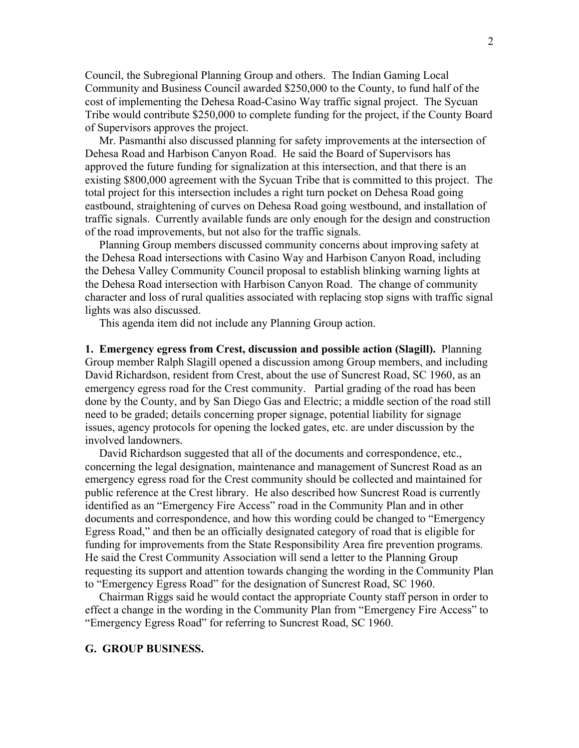Council, the Subregional Planning Group and others. The Indian Gaming Local Community and Business Council awarded \$250,000 to the County, to fund half of the cost of implementing the Dehesa Road-Casino Way traffic signal project. The Sycuan Tribe would contribute \$250,000 to complete funding for the project, if the County Board of Supervisors approves the project.

 Mr. Pasmanthi also discussed planning for safety improvements at the intersection of Dehesa Road and Harbison Canyon Road. He said the Board of Supervisors has approved the future funding for signalization at this intersection, and that there is an existing \$800,000 agreement with the Sycuan Tribe that is committed to this project. The total project for this intersection includes a right turn pocket on Dehesa Road going eastbound, straightening of curves on Dehesa Road going westbound, and installation of traffic signals. Currently available funds are only enough for the design and construction of the road improvements, but not also for the traffic signals.

 Planning Group members discussed community concerns about improving safety at the Dehesa Road intersections with Casino Way and Harbison Canyon Road, including the Dehesa Valley Community Council proposal to establish blinking warning lights at the Dehesa Road intersection with Harbison Canyon Road. The change of community character and loss of rural qualities associated with replacing stop signs with traffic signal lights was also discussed.

This agenda item did not include any Planning Group action.

**1. Emergency egress from Crest, discussion and possible action (Slagill).** Planning Group member Ralph Slagill opened a discussion among Group members, and including David Richardson, resident from Crest, about the use of Suncrest Road, SC 1960, as an emergency egress road for the Crest community. Partial grading of the road has been done by the County, and by San Diego Gas and Electric; a middle section of the road still need to be graded; details concerning proper signage, potential liability for signage issues, agency protocols for opening the locked gates, etc. are under discussion by the involved landowners.

 David Richardson suggested that all of the documents and correspondence, etc., concerning the legal designation, maintenance and management of Suncrest Road as an emergency egress road for the Crest community should be collected and maintained for public reference at the Crest library. He also described how Suncrest Road is currently identified as an "Emergency Fire Access" road in the Community Plan and in other documents and correspondence, and how this wording could be changed to "Emergency Egress Road," and then be an officially designated category of road that is eligible for funding for improvements from the State Responsibility Area fire prevention programs. He said the Crest Community Association will send a letter to the Planning Group requesting its support and attention towards changing the wording in the Community Plan to "Emergency Egress Road" for the designation of Suncrest Road, SC 1960.

 Chairman Riggs said he would contact the appropriate County staff person in order to effect a change in the wording in the Community Plan from "Emergency Fire Access" to "Emergency Egress Road" for referring to Suncrest Road, SC 1960.

## **G. GROUP BUSINESS.**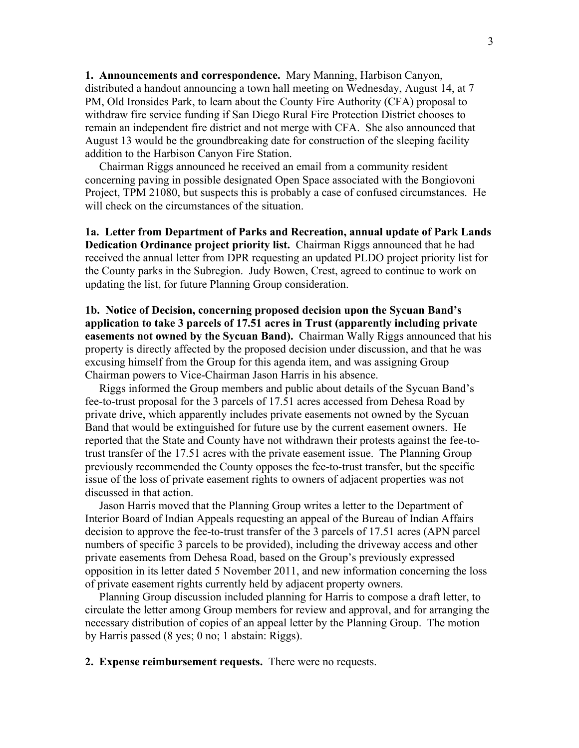**1. Announcements and correspondence.** Mary Manning, Harbison Canyon, distributed a handout announcing a town hall meeting on Wednesday, August 14, at 7 PM, Old Ironsides Park, to learn about the County Fire Authority (CFA) proposal to withdraw fire service funding if San Diego Rural Fire Protection District chooses to remain an independent fire district and not merge with CFA. She also announced that August 13 would be the groundbreaking date for construction of the sleeping facility addition to the Harbison Canyon Fire Station.

 Chairman Riggs announced he received an email from a community resident concerning paving in possible designated Open Space associated with the Bongiovoni Project, TPM 21080, but suspects this is probably a case of confused circumstances. He will check on the circumstances of the situation.

**1a. Letter from Department of Parks and Recreation, annual update of Park Lands Dedication Ordinance project priority list.** Chairman Riggs announced that he had received the annual letter from DPR requesting an updated PLDO project priority list for the County parks in the Subregion. Judy Bowen, Crest, agreed to continue to work on updating the list, for future Planning Group consideration.

**1b. Notice of Decision, concerning proposed decision upon the Sycuan Band's application to take 3 parcels of 17.51 acres in Trust (apparently including private easements not owned by the Sycuan Band).** Chairman Wally Riggs announced that his property is directly affected by the proposed decision under discussion, and that he was excusing himself from the Group for this agenda item, and was assigning Group Chairman powers to Vice-Chairman Jason Harris in his absence.

 Riggs informed the Group members and public about details of the Sycuan Band's fee-to-trust proposal for the 3 parcels of 17.51 acres accessed from Dehesa Road by private drive, which apparently includes private easements not owned by the Sycuan Band that would be extinguished for future use by the current easement owners. He reported that the State and County have not withdrawn their protests against the fee-totrust transfer of the 17.51 acres with the private easement issue. The Planning Group previously recommended the County opposes the fee-to-trust transfer, but the specific issue of the loss of private easement rights to owners of adjacent properties was not discussed in that action.

 Jason Harris moved that the Planning Group writes a letter to the Department of Interior Board of Indian Appeals requesting an appeal of the Bureau of Indian Affairs decision to approve the fee-to-trust transfer of the 3 parcels of 17.51 acres (APN parcel numbers of specific 3 parcels to be provided), including the driveway access and other private easements from Dehesa Road, based on the Group's previously expressed opposition in its letter dated 5 November 2011, and new information concerning the loss of private easement rights currently held by adjacent property owners.

 Planning Group discussion included planning for Harris to compose a draft letter, to circulate the letter among Group members for review and approval, and for arranging the necessary distribution of copies of an appeal letter by the Planning Group. The motion by Harris passed (8 yes; 0 no; 1 abstain: Riggs).

**2. Expense reimbursement requests.** There were no requests.